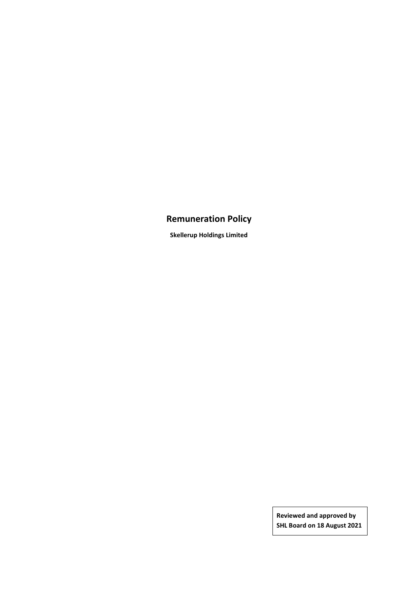# **Remuneration Policy**

**Skellerup Holdings Limited**

**Reviewed and approved by SHL Board on 18 August 2021**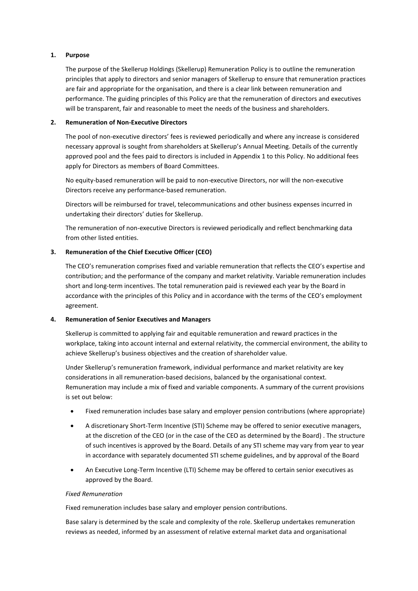# **1. Purpose**

The purpose of the Skellerup Holdings (Skellerup) Remuneration Policy is to outline the remuneration principles that apply to directors and senior managers of Skellerup to ensure that remuneration practices are fair and appropriate for the organisation, and there is a clear link between remuneration and performance. The guiding principles of this Policy are that the remuneration of directors and executives will be transparent, fair and reasonable to meet the needs of the business and shareholders.

#### **2. Remuneration of Non-Executive Directors**

The pool of non-executive directors' fees is reviewed periodically and where any increase is considered necessary approval is sought from shareholders at Skellerup's Annual Meeting. Details of the currently approved pool and the fees paid to directors is included in Appendix 1 to this Policy. No additional fees apply for Directors as members of Board Committees.

No equity-based remuneration will be paid to non-executive Directors, nor will the non-executive Directors receive any performance-based remuneration.

Directors will be reimbursed for travel, telecommunications and other business expenses incurred in undertaking their directors' duties for Skellerup.

The remuneration of non-executive Directors is reviewed periodically and reflect benchmarking data from other listed entities.

# **3. Remuneration of the Chief Executive Officer (CEO)**

The CEO's remuneration comprises fixed and variable remuneration that reflects the CEO's expertise and contribution; and the performance of the company and market relativity. Variable remuneration includes short and long-term incentives. The total remuneration paid is reviewed each year by the Board in accordance with the principles of this Policy and in accordance with the terms of the CEO's employment agreement.

#### **4. Remuneration of Senior Executives and Managers**

Skellerup is committed to applying fair and equitable remuneration and reward practices in the workplace, taking into account internal and external relativity, the commercial environment, the ability to achieve Skellerup's business objectives and the creation of shareholder value.

Under Skellerup's remuneration framework, individual performance and market relativity are key considerations in all remuneration-based decisions, balanced by the organisational context. Remuneration may include a mix of fixed and variable components. A summary of the current provisions is set out below:

- Fixed remuneration includes base salary and employer pension contributions (where appropriate)
- A discretionary Short-Term Incentive (STI) Scheme may be offered to senior executive managers, at the discretion of the CEO (or in the case of the CEO as determined by the Board) . The structure of such incentives is approved by the Board. Details of any STI scheme may vary from year to year in accordance with separately documented STI scheme guidelines, and by approval of the Board
- An Executive Long-Term Incentive (LTI) Scheme may be offered to certain senior executives as approved by the Board.

#### *Fixed Remuneration*

Fixed remuneration includes base salary and employer pension contributions.

Base salary is determined by the scale and complexity of the role. Skellerup undertakes remuneration reviews as needed, informed by an assessment of relative external market data and organisational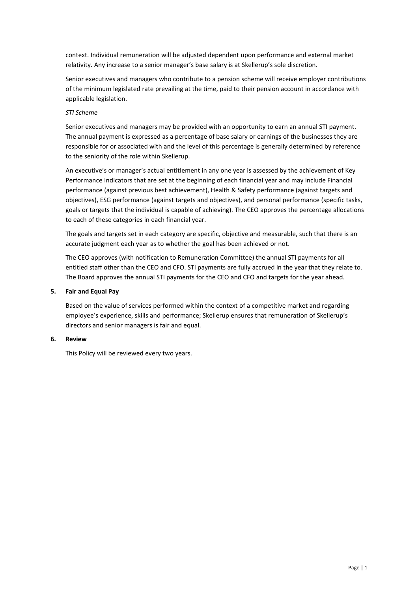context. Individual remuneration will be adjusted dependent upon performance and external market relativity. Any increase to a senior manager's base salary is at Skellerup's sole discretion.

Senior executives and managers who contribute to a pension scheme will receive employer contributions of the minimum legislated rate prevailing at the time, paid to their pension account in accordance with applicable legislation.

# *STI Scheme*

Senior executives and managers may be provided with an opportunity to earn an annual STI payment. The annual payment is expressed as a percentage of base salary or earnings of the businesses they are responsible for or associated with and the level of this percentage is generally determined by reference to the seniority of the role within Skellerup.

An executive's or manager's actual entitlement in any one year is assessed by the achievement of Key Performance Indicators that are set at the beginning of each financial year and may include Financial performance (against previous best achievement), Health & Safety performance (against targets and objectives), ESG performance (against targets and objectives), and personal performance (specific tasks, goals or targets that the individual is capable of achieving). The CEO approves the percentage allocations to each of these categories in each financial year.

The goals and targets set in each category are specific, objective and measurable, such that there is an accurate judgment each year as to whether the goal has been achieved or not.

The CEO approves (with notification to Remuneration Committee) the annual STI payments for all entitled staff other than the CEO and CFO. STI payments are fully accrued in the year that they relate to. The Board approves the annual STI payments for the CEO and CFO and targets for the year ahead.

#### **5. Fair and Equal Pay**

Based on the value of services performed within the context of a competitive market and regarding employee's experience, skills and performance; Skellerup ensures that remuneration of Skellerup's directors and senior managers is fair and equal.

#### **6. Review**

This Policy will be reviewed every two years.